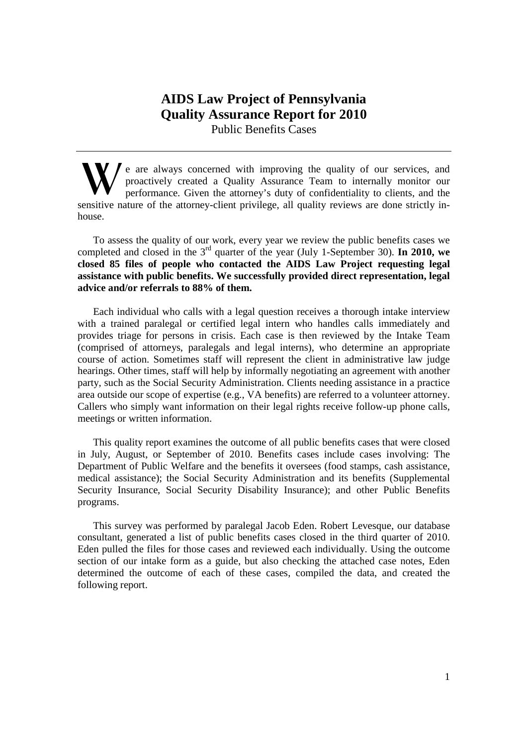# **AIDS Law Project of Pennsylvania Quality Assurance Report for 2010**  Public Benefits Cases

e are always concerned with improving the quality of our services, and proactively created a Quality Assurance Team to internally monitor our performance. Given the attorney's duty of confidentiality to clients, and the sensitive nature of the attorney-client privilege, all quality reviews are done strictly inhouse. **W**

To assess the quality of our work, every year we review the public benefits cases we completed and closed in the 3rd quarter of the year (July 1-September 30). **In 2010, we closed 85 files of people who contacted the AIDS Law Project requesting legal assistance with public benefits. We successfully provided direct representation, legal advice and/or referrals to 88% of them.** 

Each individual who calls with a legal question receives a thorough intake interview with a trained paralegal or certified legal intern who handles calls immediately and provides triage for persons in crisis. Each case is then reviewed by the Intake Team (comprised of attorneys, paralegals and legal interns), who determine an appropriate course of action. Sometimes staff will represent the client in administrative law judge hearings. Other times, staff will help by informally negotiating an agreement with another party, such as the Social Security Administration. Clients needing assistance in a practice area outside our scope of expertise (e.g., VA benefits) are referred to a volunteer attorney. Callers who simply want information on their legal rights receive follow-up phone calls, meetings or written information.

This quality report examines the outcome of all public benefits cases that were closed in July, August, or September of 2010. Benefits cases include cases involving: The Department of Public Welfare and the benefits it oversees (food stamps, cash assistance, medical assistance); the Social Security Administration and its benefits (Supplemental Security Insurance, Social Security Disability Insurance); and other Public Benefits programs.

This survey was performed by paralegal Jacob Eden. Robert Levesque, our database consultant, generated a list of public benefits cases closed in the third quarter of 2010. Eden pulled the files for those cases and reviewed each individually. Using the outcome section of our intake form as a guide, but also checking the attached case notes, Eden determined the outcome of each of these cases, compiled the data, and created the following report.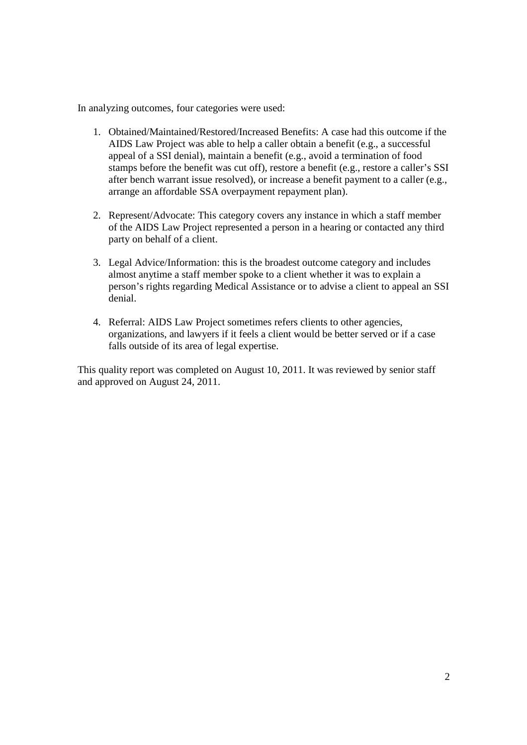In analyzing outcomes, four categories were used:

- 1. Obtained/Maintained/Restored/Increased Benefits: A case had this outcome if the AIDS Law Project was able to help a caller obtain a benefit (e.g., a successful appeal of a SSI denial), maintain a benefit (e.g., avoid a termination of food stamps before the benefit was cut off), restore a benefit (e.g., restore a caller's SSI after bench warrant issue resolved), or increase a benefit payment to a caller (e.g., arrange an affordable SSA overpayment repayment plan).
- 2. Represent/Advocate: This category covers any instance in which a staff member of the AIDS Law Project represented a person in a hearing or contacted any third party on behalf of a client.
- 3. Legal Advice/Information: this is the broadest outcome category and includes almost anytime a staff member spoke to a client whether it was to explain a person's rights regarding Medical Assistance or to advise a client to appeal an SSI denial.
- 4. Referral: AIDS Law Project sometimes refers clients to other agencies, organizations, and lawyers if it feels a client would be better served or if a case falls outside of its area of legal expertise.

This quality report was completed on August 10, 2011. It was reviewed by senior staff and approved on August 24, 2011.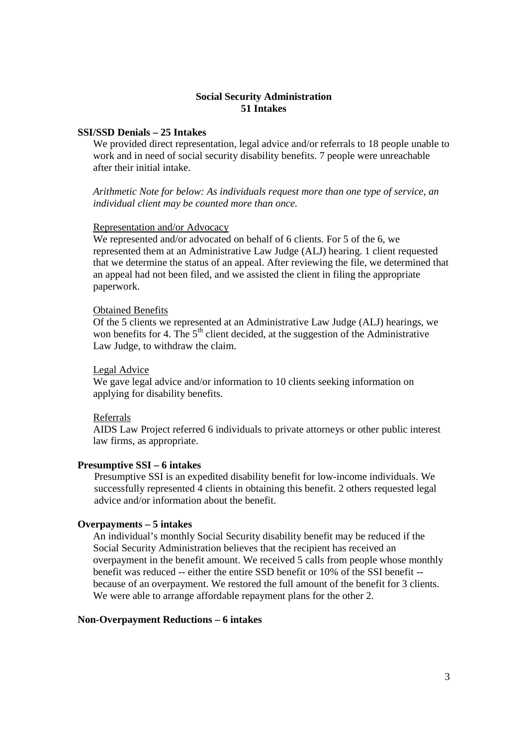# **Social Security Administration 51 Intakes**

# **SSI/SSD Denials – 25 Intakes**

We provided direct representation, legal advice and/or referrals to 18 people unable to work and in need of social security disability benefits. 7 people were unreachable after their initial intake.

*Arithmetic Note for below: As individuals request more than one type of service, an individual client may be counted more than once.* 

### Representation and/or Advocacy

We represented and/or advocated on behalf of 6 clients. For 5 of the 6, we represented them at an Administrative Law Judge (ALJ) hearing. 1 client requested that we determine the status of an appeal. After reviewing the file, we determined that an appeal had not been filed, and we assisted the client in filing the appropriate paperwork.

### Obtained Benefits

Of the 5 clients we represented at an Administrative Law Judge (ALJ) hearings, we won benefits for 4. The  $5<sup>th</sup>$  client decided, at the suggestion of the Administrative Law Judge, to withdraw the claim.

#### Legal Advice

We gave legal advice and/or information to 10 clients seeking information on applying for disability benefits.

## Referrals

AIDS Law Project referred 6 individuals to private attorneys or other public interest law firms, as appropriate.

### **Presumptive SSI – 6 intakes**

Presumptive SSI is an expedited disability benefit for low-income individuals. We successfully represented 4 clients in obtaining this benefit. 2 others requested legal advice and/or information about the benefit.

### **Overpayments – 5 intakes**

An individual's monthly Social Security disability benefit may be reduced if the Social Security Administration believes that the recipient has received an overpayment in the benefit amount. We received 5 calls from people whose monthly benefit was reduced -- either the entire SSD benefit or 10% of the SSI benefit - because of an overpayment. We restored the full amount of the benefit for 3 clients. We were able to arrange affordable repayment plans for the other 2.

### **Non-Overpayment Reductions – 6 intakes**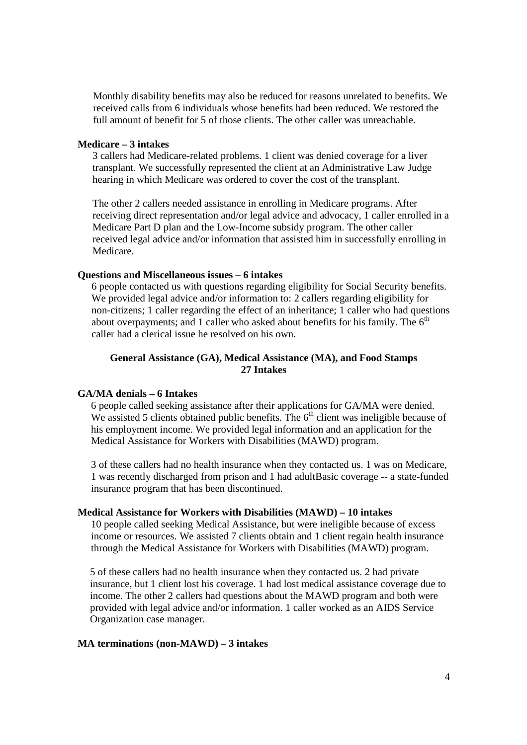Monthly disability benefits may also be reduced for reasons unrelated to benefits. We received calls from 6 individuals whose benefits had been reduced. We restored the full amount of benefit for 5 of those clients. The other caller was unreachable.

# **Medicare – 3 intakes**

3 callers had Medicare-related problems. 1 client was denied coverage for a liver transplant. We successfully represented the client at an Administrative Law Judge hearing in which Medicare was ordered to cover the cost of the transplant.

The other 2 callers needed assistance in enrolling in Medicare programs. After receiving direct representation and/or legal advice and advocacy, 1 caller enrolled in a Medicare Part D plan and the Low-Income subsidy program. The other caller received legal advice and/or information that assisted him in successfully enrolling in Medicare.

#### **Questions and Miscellaneous issues – 6 intakes**

6 people contacted us with questions regarding eligibility for Social Security benefits. We provided legal advice and/or information to: 2 callers regarding eligibility for non-citizens; 1 caller regarding the effect of an inheritance; 1 caller who had questions about overpayments; and 1 caller who asked about benefits for his family. The  $6<sup>th</sup>$ caller had a clerical issue he resolved on his own.

# **General Assistance (GA), Medical Assistance (MA), and Food Stamps 27 Intakes**

# **GA/MA denials – 6 Intakes**

6 people called seeking assistance after their applications for GA/MA were denied. We assisted 5 clients obtained public benefits. The  $6<sup>th</sup>$  client was ineligible because of his employment income. We provided legal information and an application for the Medical Assistance for Workers with Disabilities (MAWD) program.

3 of these callers had no health insurance when they contacted us. 1 was on Medicare, 1 was recently discharged from prison and 1 had adultBasic coverage -- a state-funded insurance program that has been discontinued.

### **Medical Assistance for Workers with Disabilities (MAWD) – 10 intakes**

10 people called seeking Medical Assistance, but were ineligible because of excess income or resources. We assisted 7 clients obtain and 1 client regain health insurance through the Medical Assistance for Workers with Disabilities (MAWD) program.

5 of these callers had no health insurance when they contacted us. 2 had private insurance, but 1 client lost his coverage. 1 had lost medical assistance coverage due to income. The other 2 callers had questions about the MAWD program and both were provided with legal advice and/or information. 1 caller worked as an AIDS Service Organization case manager.

# **MA terminations (non-MAWD) – 3 intakes**